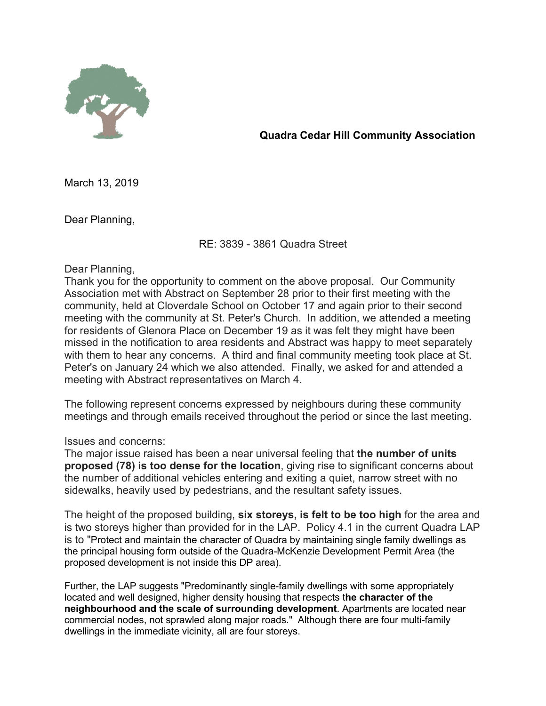

**Quadra Cedar Hill Community Association**

March 13, 2019

Dear Planning,

RE: 3839 - 3861 Quadra Street

Dear Planning,

Thank you for the opportunity to comment on the above proposal. Our Community Association met with Abstract on September 28 prior to their first meeting with the community, held at Cloverdale School on October 17 and again prior to their second meeting with the community at St. Peter's Church. In addition, we attended a meeting for residents of Glenora Place on December 19 as it was felt they might have been missed in the notification to area residents and Abstract was happy to meet separately with them to hear any concerns. A third and final community meeting took place at St. Peter's on January 24 which we also attended. Finally, we asked for and attended a meeting with Abstract representatives on March 4.

The following represent concerns expressed by neighbours during these community meetings and through emails received throughout the period or since the last meeting.

## Issues and concerns:

The major issue raised has been a near universal feeling that **the number of units proposed (78) is too dense for the location**, giving rise to significant concerns about the number of additional vehicles entering and exiting a quiet, narrow street with no sidewalks, heavily used by pedestrians, and the resultant safety issues.

The height of the proposed building, **six storeys, is felt to be too high** for the area and is two storeys higher than provided for in the LAP. Policy 4.1 in the current Quadra LAP is to "Protect and maintain the character of Quadra by maintaining single family dwellings as the principal housing form outside of the Quadra-McKenzie Development Permit Area (the proposed development is not inside this DP area).

Further, the LAP suggests "Predominantly single-family dwellings with some appropriately located and well designed, higher density housing that respects t**he character of the neighbourhood and the scale of surrounding development**. Apartments are located near commercial nodes, not sprawled along major roads." Although there are four multi-family dwellings in the immediate vicinity, all are four storeys.